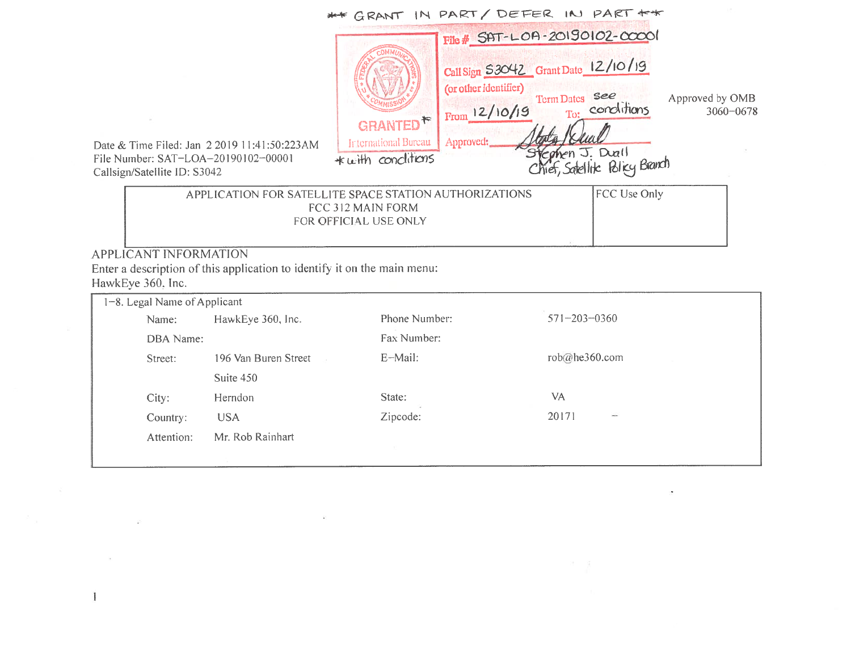|                                                      |                                                                            | ** GRANT IN PART/ DEFER IN PART +*                                                                        |                                                   |                                  |
|------------------------------------------------------|----------------------------------------------------------------------------|-----------------------------------------------------------------------------------------------------------|---------------------------------------------------|----------------------------------|
|                                                      |                                                                            | File # SAT-LOA-20190102-00001                                                                             |                                                   |                                  |
| 2 2019 11:41:50:223AM<br>00001−2019 102−00<br>042    | GRANTED <sup>*</sup><br><b>International Bureau</b><br>$+$ with conditions | Call Sign S3042 Grant Date 12/10/19<br>(or other identifier)<br>From 12/10/19 To: conditions<br>Approved: | Stephen J. Duall<br>Chief, Satellik: Bliey Branch | Approved by OMB<br>$3060 - 0678$ |
| PLICATION FOR SATELLITE SPACE STATION AUTHORIZATIONS | FCC 312 MAIN FORM                                                          |                                                                                                           | FCC Use Only                                      |                                  |

 $\sim$ 

Date & Time Filed: Jan <sup>220191</sup> 1:41:50:223AMFile Number: SAT-LOA A-20190102-0000<br>2012 Calisign/Satellite ID: S3042

 $\mathcal{L} = \{ \mathcal{L} \}$  .

 $\geq$ 

 $\langle \Phi \rangle$ 

 $\mathbf{I}$ 

APP <sup>312</sup> MAIN FORM FOR OFFICIAL USE ONLY

APPLICANT INFORMATION Enter <sup>a</sup> description of this application to identify it on the main menu: HawkEye 360. Inc.

 $\frac{d}{d\omega}$ 

| 1-8. Legal Name of Applicant |                      |               |                         |  |
|------------------------------|----------------------|---------------|-------------------------|--|
| Name:                        | HawkEye 360, Inc.    | Phone Number: | $571 - 203 - 0360$      |  |
| DBA Name:                    |                      | Fax Number:   |                         |  |
| Street:                      | 196 Van Buren Street | E-Mail:       | rob@he360.com           |  |
|                              | Suite 450            |               |                         |  |
| City:                        | Herndon              | State:        | VA                      |  |
| Country:                     | <b>USA</b>           | Zipcode:      | 20171<br>$\overline{a}$ |  |
| Attention:                   | Mr. Rob Rainhart     |               |                         |  |
|                              |                      |               |                         |  |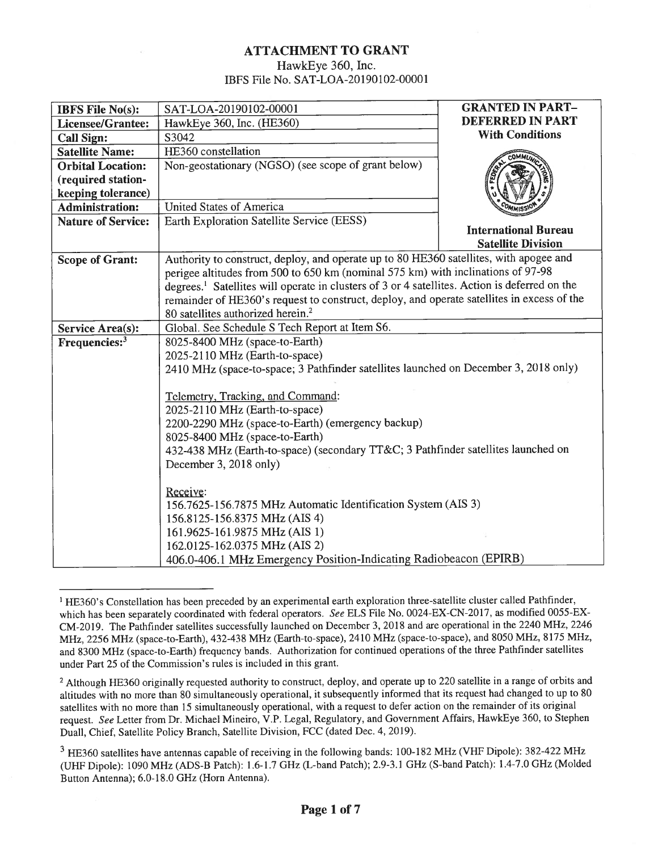## ATTACHMENT TO GRANT HawkEye 360, Inc. IBFS File No. SAT-LOA-20190102-00001

| <b>IBFS File No(s):</b>                              | SAT-LOA-20190102-00001                                                                                                                                                                        | <b>GRANTED IN PART-</b>     |  |
|------------------------------------------------------|-----------------------------------------------------------------------------------------------------------------------------------------------------------------------------------------------|-----------------------------|--|
| <b>Licensee/Grantee:</b>                             | <b>DEFERRED IN PART</b><br>HawkEye 360, Inc. (HE360)                                                                                                                                          |                             |  |
| <b>Call Sign:</b>                                    | <b>With Conditions</b><br>S3042                                                                                                                                                               |                             |  |
| <b>Satellite Name:</b>                               | HE360 constellation                                                                                                                                                                           |                             |  |
| <b>Orbital Location:</b>                             | Non-geostationary (NGSO) (see scope of grant below)                                                                                                                                           |                             |  |
| (required station-                                   |                                                                                                                                                                                               |                             |  |
| keeping tolerance)                                   |                                                                                                                                                                                               |                             |  |
| <b>Administration:</b>                               | <b>United States of America</b>                                                                                                                                                               |                             |  |
| <b>Nature of Service:</b>                            | Earth Exploration Satellite Service (EESS)                                                                                                                                                    |                             |  |
|                                                      |                                                                                                                                                                                               | <b>International Bureau</b> |  |
|                                                      |                                                                                                                                                                                               | <b>Satellite Division</b>   |  |
| <b>Scope of Grant:</b>                               | Authority to construct, deploy, and operate up to 80 HE360 satellites, with apogee and                                                                                                        |                             |  |
|                                                      | perigee altitudes from 500 to 650 km (nominal 575 km) with inclinations of 97-98<br>degrees. <sup>1</sup> Satellites will operate in clusters of 3 or 4 satellites. Action is deferred on the |                             |  |
|                                                      | remainder of HE360's request to construct, deploy, and operate satellites in excess of the                                                                                                    |                             |  |
|                                                      |                                                                                                                                                                                               |                             |  |
|                                                      | 80 satellites authorized herein. <sup>2</sup>                                                                                                                                                 |                             |  |
| <b>Service Area(s):</b><br>Frequencies: <sup>3</sup> | Global. See Schedule S Tech Report at Item S6.<br>8025-8400 MHz (space-to-Earth)                                                                                                              |                             |  |
|                                                      | 2025-2110 MHz (Earth-to-space)                                                                                                                                                                |                             |  |
|                                                      | 2410 MHz (space-to-space; 3 Pathfinder satellites launched on December 3, 2018 only)                                                                                                          |                             |  |
|                                                      |                                                                                                                                                                                               |                             |  |
|                                                      | Telemetry, Tracking, and Command:                                                                                                                                                             |                             |  |
|                                                      | 2025-2110 MHz (Earth-to-space)                                                                                                                                                                |                             |  |
|                                                      | 2200-2290 MHz (space-to-Earth) (emergency backup)                                                                                                                                             |                             |  |
|                                                      | 8025-8400 MHz (space-to-Earth)                                                                                                                                                                |                             |  |
|                                                      | 432-438 MHz (Earth-to-space) (secondary TT&C 3 Pathfinder satellites launched on                                                                                                              |                             |  |
|                                                      | December 3, 2018 only)                                                                                                                                                                        |                             |  |
|                                                      |                                                                                                                                                                                               |                             |  |
|                                                      | Receive:                                                                                                                                                                                      |                             |  |
|                                                      | 156.7625-156.7875 MHz Automatic Identification System (AIS 3)                                                                                                                                 |                             |  |
|                                                      | 156.8125-156.8375 MHz (AIS 4)                                                                                                                                                                 |                             |  |
|                                                      | 161.9625-161.9875 MHz (AIS 1)                                                                                                                                                                 |                             |  |
|                                                      | 162.0125-162.0375 MHz (AIS 2)                                                                                                                                                                 |                             |  |
|                                                      | 406.0-406.1 MHz Emergency Position-Indicating Radiobeacon (EPIRB)                                                                                                                             |                             |  |

<sup>&</sup>lt;sup>1</sup> HE360's Constellation has been preceded by an experimental earth exploration three-satellite cluster called Pathfinder, which has been separately coordinated with federal operators. See ELS File No. 0024-EX-CN-2017, as modified 0055-EX-CM-2019. The Pathfinder satellites successfully launched on December 3, 2018 and are operational in the 2240 MHz, 2246 MHz, 2256 MHz (space-to-Earth), 432-438 MHz (Earth-to-space), 2410 MHz (space-to-space), and 8050 MHz, 8175 MHz, and 8300 MHz (space-to-Earth) frequency bands. Authorization for continued operations of the three Pathfinder satellites under Part 25 of the Commission's rules is included in this grant.

<sup>&</sup>lt;sup>2</sup> Although HE360 originally requested authority to construct, deploy, and operate up to 220 satellite in a range of orbits and altitudes with no more than 80 simultaneously operational, it subsequently informed that its request had changed to up to 80 satellites with no more than 15 simultaneously operational, with a request to defer action on the remainder of its original request. See Letter from Dr. Michael Mineiro, V.P. Legal, Regulatory, and Government Affairs, HawkEye 360, to Stephen Duall, Chief, Satellite Policy Branch, Satellite Division, FCC (dated Dec. 4, 2019).

<sup>&</sup>lt;sup>3</sup> HE360 satellites have antennas capable of receiving in the following bands: 100-182 MHz (VHF Dipole): 382-422 MHz (UHF Dipole): 1090 MHz (ADS-B Patch): 1.6-1.7 GHz (L-band Patch); 2.9-3.1 GHz (S-band Patch): 1.4-7.0 GHz (Molded Button Antenna); 6.0-18.0 GHz (Horn Antenna).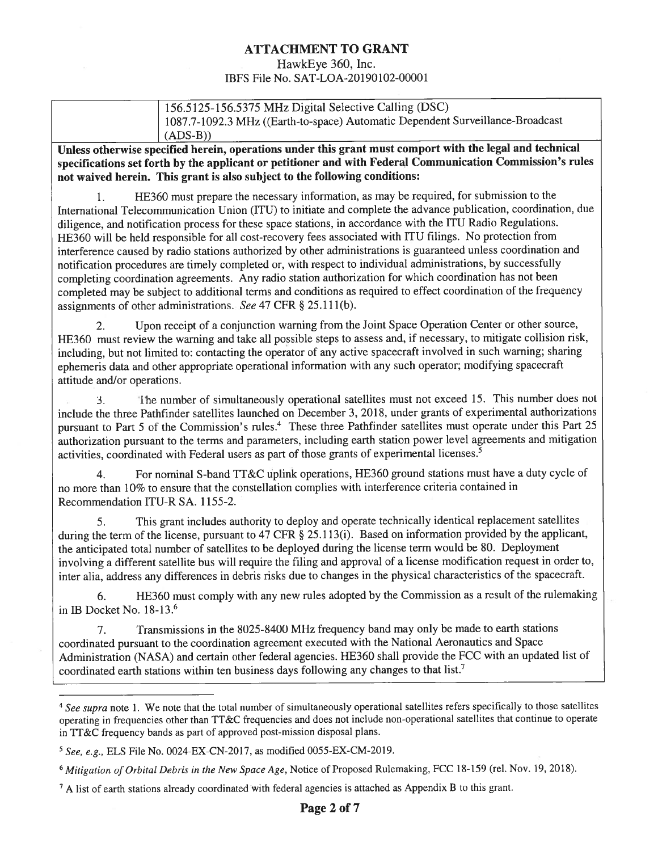## ATTACHMENT TO GRANT

### HawkEye 360, Inc. IBFS File No. SAT-LOA-20190102-00001

| 156.5125-156.5375 MHz Digital Selective Calling (DSC)                          |
|--------------------------------------------------------------------------------|
| 1087.7-1092.3 MHz ((Earth-to-space) Automatic Dependent Surveillance-Broadcast |
| $(ADS-B))$                                                                     |
|                                                                                |

Unless otherwise specified herein, operations under this grant must comport with the legal and technical specifications set forth by the applicant or petitioner and with Federal Communication Commission's rules not waived herein. This grant is also subject to the following conditions:

1. HE360 must prepare the necessary information, as may be required, for submission to the International Telecommunication Union (ITU) to initiate and complete the advance publication, coordination, due diligence, and notification process for these space stations, in accordance with the 1TU Radio Regulations. HE360 will be held responsible for all cost-recovery fees associated with ITU filings. No protection from interference caused by radio stations authorized by other administrations is guaranteed unless coordination and notification procedures are timely completed or, with respect to individual administrations, by successfully completing coordination agreements. Any radio station authorization for which coordination has not been completed may be subject to additional terms and conditions as required to effect coordination of the frequency assignments of other administrations. See 47 CFR § 25.111(b).

2. Upon receipt of a conjunction warning from the Joint Space Operation Center or other source, HE360 must review the warning and take all possible steps to assess and, if necessary, to mitigate collision risk, including, but not limited to: contacting the operator of any active spacecraft involved in such warning; sharing ephemeris data and other appropriate operational information with any such operator; modifying spacecraft attitude and/or operations.

3. Ihe number of simultaneously operational satellites must not exceed 15. This number does not include the three Pathfinder satellites launched on December 3, 2018, under grants of experimental authorizations pursuant to Part 5 of the Commission's rules.<sup>4</sup> These three Pathfinder satellites must operate under this Part 25 authorization pursuant to the terms and parameters, including earth station power level agreements and mitigation activities, coordinated with Federal users as part of those grants of experimental licenses.5

4. For nominal S-band TT&C uplink operations, HE360 ground stations must have a duty cycle of no more than 10% to ensure that the constellation complies with interference criteria contained in Recommendation ITU-R SA. 1155-2.

5. This grant includes authority to deploy and operate technically identical replacement satellites during the term of the license, pursuant to 47 CFR § 25.113(i). Based on information provided by the applicant, the anticipated total number of satellites to be deployed during the license term would be 80. Deployment involving <sup>a</sup> different satellite bus will require the filing and approval of a license modification request in order to, inter alia, address any differences in debris risks due to changes in the physical characteristics of the spacecraft.

6. HE360 must comply with any new rules adopted by the Commission as a result of the rulemaking in lB Docket No. 18~13.6

7. Transmissions in the 8025-8400 MHz frequency band may only be made to earth stations coordinated pursuant to the coordination agreement executed with the National Aeronautics and Space Administration (NASA) and certain other federal agencies. HE360 shall provide the FCC with an updated list of coordinated earth stations within ten business days following any changes to that list.<sup>7</sup>

 $4$  See supra note 1. We note that the total number of simultaneously operational satellites refers specifically to those satellites operating in frequencies other than TT&C frequencies and does not include non-operational satellites that continue to operate in TT&C frequency bands as part of approved post-mission disposal plans.

 $5$  See, e.g., ELS File No. 0024-EX-CN-2017, as modified 0055-EX-CM-2019.

<sup>&</sup>lt;sup>6</sup> Mitigation of Orbital Debris in the New Space Age, Notice of Proposed Rulemaking, FCC 18-159 (rel. Nov. 19, 2018).

 $^7$  A list of earth stations already coordinated with federal agencies is attached as Appendix B to this grant.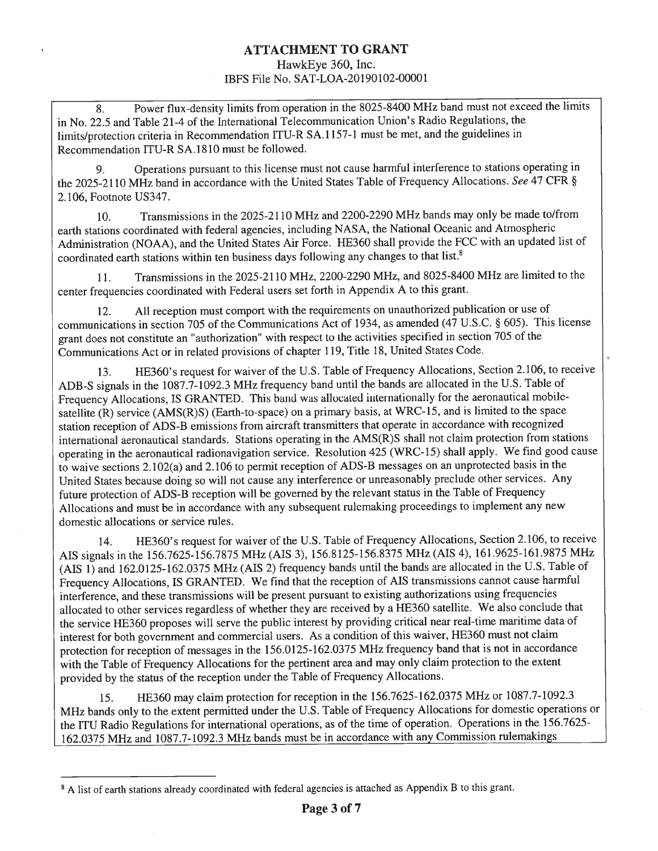## ATTACHMENT TO GRANT HawkEye 360, Inc.

IBFS File No. SAT-LOA-20 190102-00001

8. Power flux-density limits from operation in the 8025-8400 MHz band must not exceed the limits in No. 22.5 and Table 21-4 of the International Telecommunication Union's Radio Regulations, the limits/protection criteria in Recommendation ITU-R SA. 1157-1 must be met, and the guidelines in Recommendation ITU-R SA.1810 must be followed.

9. Operations pursuant to this license must not cause harmful interference to stations operating in the 2025-2110 MHz band in accordance with the United States Table of Frequency Allocations. See 47 CFR § 2.106, Footnote US347.

10. Transmissions in the 2025-2 110 MHz and 2200-2290 MHz bands may only be made to/from earth stations coordinated with federal agencies, including NASA, the National Oceanic and Atmospheric Administration (NOAA), and the United States Air Force. HE360 shall provide the FCC with an updated list of coordinated earth stations within ten business days following any changes to that list.8

11. Transmissions in the 2025-2110 MHz, 2200-2290 MHz, and 8025-8400 MHz are limited to the center frequencies coordinated with Federal users set forth in Appendix A to this grant.

12. All reception must comport with the requirements on unauthorized publication or use of communications in section 705 of the Communications Act of 1934, as amended (47 U.S.C. § 605). This license grant does not constitute an "authorization" with respect to the activities specified in section 705 of the Communications Act or in related provisions of chapter 119, Title 18, United States Code.

13. 11E360's request for waiver of the U.S. Table of Frequency Allocations, Section 2.106, to receive ADB-S signals in the 1087.7-1092.3 MHz frequency band until the bands are allocated in the U.S. Table of Frequency Allocations, IS GRANTED. This band was allocated internationally for the aeronautical mobilesatellite (R) service (AMS(R)S) (Earth-to-space) on a primary basis, at WRC-15, and is limited to the space station reception of ADS-B emissions from aircraft transmitters that operate in accordance with recognized international aeronautical standards. Stations operating in the AMS(R)S shall not claim protection from stations operating in the aeronautical radionavigation service. Resolution 425 (WRC-15) shall apply. We find good cause to waive sections 2.102(a) and 2.106 to permit reception of ADS-B messages on an unprotected basis in the United States because doing so will not cause any interference or unreasonably preclude other services. Any future protection of ADS-B reception will be governed by the relevant status in the Table of Frequency Allocations and must be in accordance with any subsequent rulemaking proceedings to implement any new domestic allocations or service rules.

14. HE360's request for waiver of the U.S. Table of Frequency Allocations, Section 2.106, to receive AIS signals in the 156.7625-156.7875 MHz (AIS 3), 156.8 125-156.8375 MHz (MS 4), 161.9625-161.9875 MHz (AIS 1) and 162.0125-162.0375 MHz (AIS 2) frequency bands until the bands are allocated in the U.S. Table of Frequency Allocations, IS GRANTED. We find that the reception of AIS transmissions cannot cause harmful interference, and these transmissions will be present pursuant to existing authorizations using frequencies allocated to other services regardless of whether they are received by a HE360 satellite. We also conclude that the service HE360 proposes will serve the public interest by providing critical near real-time maritime data of interest for both government and commercial users. As a condition of this waiver, HE360 must not claim protection for reception of messages in the 156.0125-162.0375 MHz frequency band that is not in accordance with the Table of Frequency Allocations for the pertinent area and may only claim protection to the extent provided by the status of the reception under the Table of Frequency Allocations.

15. HE360 may claim protection for reception in the 156.7625-162.0375 MHz or 1087.7-1092.3 MHz bands only to the extent permitted under the U.S. Table of Frequency Allocations for domestic operations or the ITU Radio Regulations for international operations, as of the time of operation. Operations in the 156.7625- 162.0375 MHz and 1087.7-1092.3 MHz bands must be in accordance with any Commission rulemakings

<sup>&</sup>lt;sup>8</sup> A list of earth stations already coordinated with federal agencies is attached as Appendix B to this grant.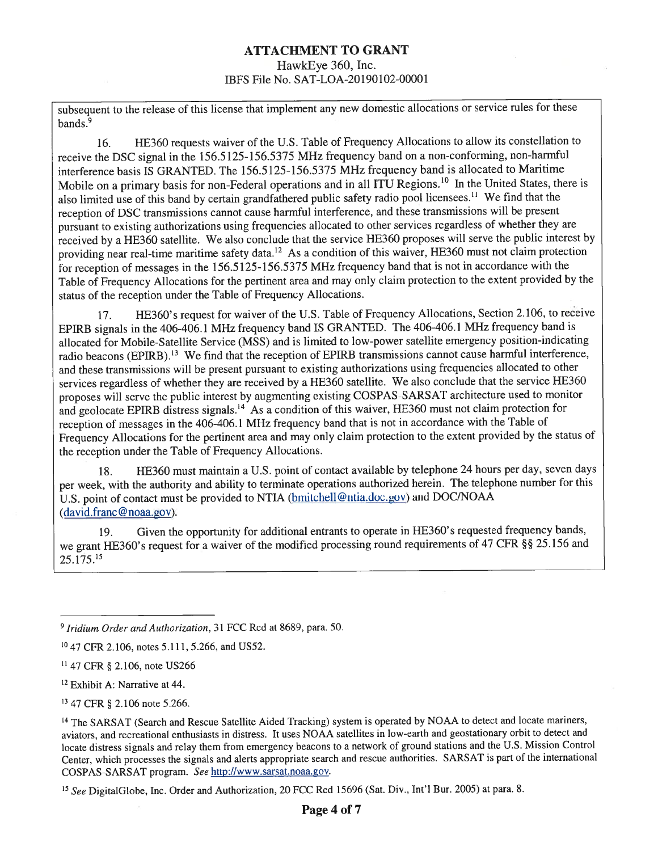## ATTACHMENT TO GRANT HawkEye 360, Inc. IBFS File No. SAT-LOA-20190102-00001

subsequent to the release of this license that implement any new domestic allocations or service rules for these bands.<sup>9</sup>

16. HE360 requests waiver of the U.S. Table of Frequency Allocations to allow its constellation to receive the DSC signal in the 156.5 125-156.5375 MHz frequency band on a non-conforming, non-harmful interference basis IS GRANTED. The 156.5 125-156.5375 MHz frequency band is allocated to Maritime Mobile on a primary basis for non-Federal operations and in all ITU Regions.<sup>10</sup> In the United States, there is also limited use of this band by certain grandfathered public safety radio pool licensees.'1 We find that the reception of DSC transmissions cannot cause harmful interference, and these transmissions will be present pursuant to existing authorizations using frequencies allocated to other services regardless of whether they are received by <sup>a</sup> HE360 satellite. We also conclude that the service HE360 proposes will serve the public interest by providing near real-time maritime safety data.<sup>12</sup> As a condition of this waiver, HE360 must not claim protection for reception of messages in the 156.5125-156.5375 MHz frequency band that is not in accordance with the Table of Frequency Allocations for the pertinent area and may only claim protection to the extent provided by the status of the reception under the Table of Frequency Allocations.

17. HE360' <sup>s</sup> request for waiver of the U.S. Table of Frequency Allocations, Section 2.106, to receive EPIRB signals in the 406-406.1 MHz frequency band IS GRANTED. The 406-406.1 MHz frequency band is allocated for Mobile-Satellite Service (MSS) and is limited to low-power satellite emergency position-indicating radio beacons (EPIRB).<sup>13</sup> We find that the reception of EPIRB transmissions cannot cause harmful interference, and these transmissions will be present pursuant to existing authorizations using frequencies allocated to other services regardless of whether they are received by a HE360 satellite. We also conclude that the service HE360 proposes will serve the public interest by augmenting existing COSPAS SARSAT architecture used to monitor and geolocate EPIRB distress signals.<sup>14</sup> As a condition of this waiver, HE360 must not claim protection for reception of messages in the 406-406.1 MHz frequency band that is not in accordance with the Table of Frequency Allocations for the pertinent area and may only claim protection to the extent provided by the status of the reception under the Table of Frequency Allocations.

18. HE360 must maintain a U.S. point of contact available by telephone 24 hours per day, seven days per week, with the authority and ability to terminate operations authorized herein. The telephone number for this U.S. point of contact must be provided to NTIA (bmitchell@utia.doc.gov) and DOC/NOAA  $(david.franc@noaa.gov)$ .

19. Given the opportunity for additional entrants to operate in HE360' <sup>s</sup> requested frequency bands, we grant HE360's request for a waiver of the modified processing round requirements of 47 CFR §§ 25.156 and 25 . 175 <sup>15</sup>

<sup>13</sup> 47 CFR § 2.106 note 5.266.

<sup>~</sup> Iridium Order and Authorization, 31 FCC Rcd at 8689, para. 50.

<sup>&</sup>lt;sup>10</sup> 47 CFR 2.106, notes 5.111, 5.266, and US52.

<sup>&</sup>lt;sup>11</sup> 47 CFR § 2.106, note US266

<sup>12</sup> Exhibit A: Narrative at 44.

<sup>&</sup>lt;sup>14</sup> The SARSAT (Search and Rescue Satellite Aided Tracking) system is operated by NOAA to detect and locate mariners, aviators, and recreational enthusiasts in distress. It uses NOAA satellites in low-earth and geostationary orbit to detect and locate distress signals and relay them from emergency beacons to a network of ground stations and the U.S. Mission Control Center, which processes the signals and alerts appropriate search and rescue authorities. SARSAT is part of the international COSPAS-SARSAT program. See http://www.sarsat.noaa.gov.

<sup>&</sup>lt;sup>15</sup> See DigitalGlobe, Inc. Order and Authorization, 20 FCC Rcd 15696 (Sat. Div., Int'l Bur. 2005) at para. 8.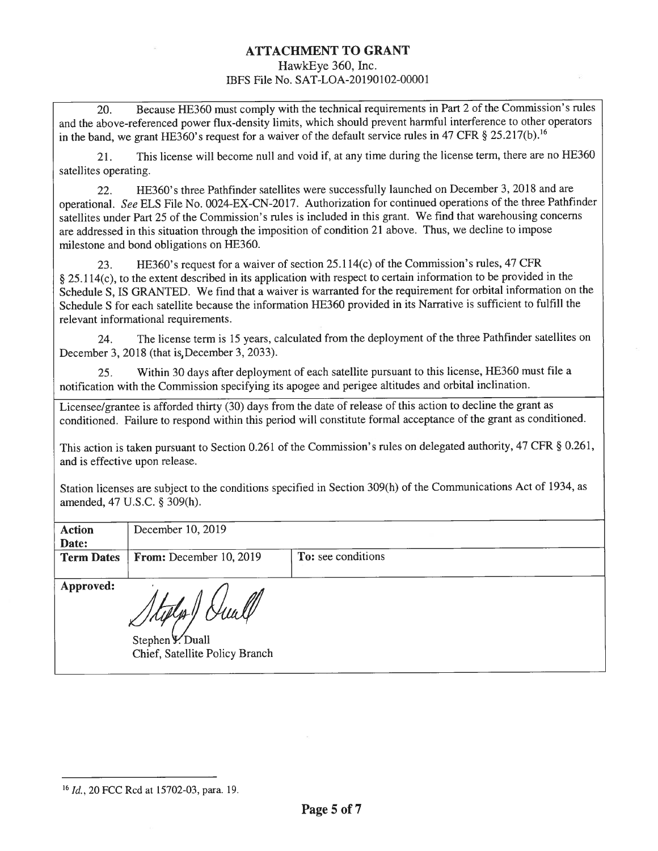### ATTACHMENT TO GRANT HawkEye 360, Inc.

# IBFS File No. SAT-LOA-20190102-00001

20. Because HE360 must comply with the technical requirements in Part 2 of the Commission's rules and the above-referenced power flux-density limits, which should prevent harmful interference to other operators in the band, we grant HE360's request for a waiver of the default service rules in 47 CFR § 25.217(b).<sup>16</sup>

21. This license will become null and void if, at any time during the license term, there are no HE360 satellites operating.

22. HE360's three Pathfinder satellites were successfully launched on December 3, 2018 and are operational. See ELS File No. 0024-EX-CN-20 17. Authorization for continued operations of the three Pathfinder satellites under Part 25 of the Commission's rules is included in this grant. We find that warehousing concerns are addressed in this situation through the imposition of condition 21 above. Thus, we decline to impose milestone and bond obligations on HE360.

23. HE360's request for a waiver of section 25.114(c) of the Commission's rules, 47 CFR § 25.114(c), to the extent described in its application with respect to certain information to be provided in the Schedule S, IS GRANTED. We find that a waiver is warranted for the requirement for orbital information on the Schedule <sup>S</sup> for each satellite because the information HE360 provided in its Narrative is sufficient to fulfill the relevant informational requirements.

24. The license term is <sup>15</sup> years, calculated from the deployment of the three Pathfinder satellites on December 3, 2018 (that is, December 3, 2033).

25. Within 30 days after deployment of each satellite pursuant to this license, HE360 must file a notification with the Commission specifying its apogee and perigee altitudes and orbital inclination.

Licensee/grantee is afforded thirty (30) days from the date of release of this action to decline the grant as conditioned. Failure to respond within this period will constitute formal acceptance of the grant as conditioned.

This action is taken pursuant to Section 0.261 of the Commission's rules on delegated authority, 47 CFR § 0.261, and is effective upon release.

Station licenses are subject to the conditions specified in Section 309(h) of the Communications Act of 1934, as amended, 47 U.S.C. § 309(h).

| <b>Action</b>     | December 10, 2019                                  |                    |
|-------------------|----------------------------------------------------|--------------------|
| Date:             |                                                    |                    |
| <b>Term Dates</b> | From: December 10, 2019                            | To: see conditions |
| Approved:         | Stephen Y. Duall<br>Chief, Satellite Policy Branch |                    |

<sup>16</sup> Id., 20 FCC Rcd at 15702-03, para. 19.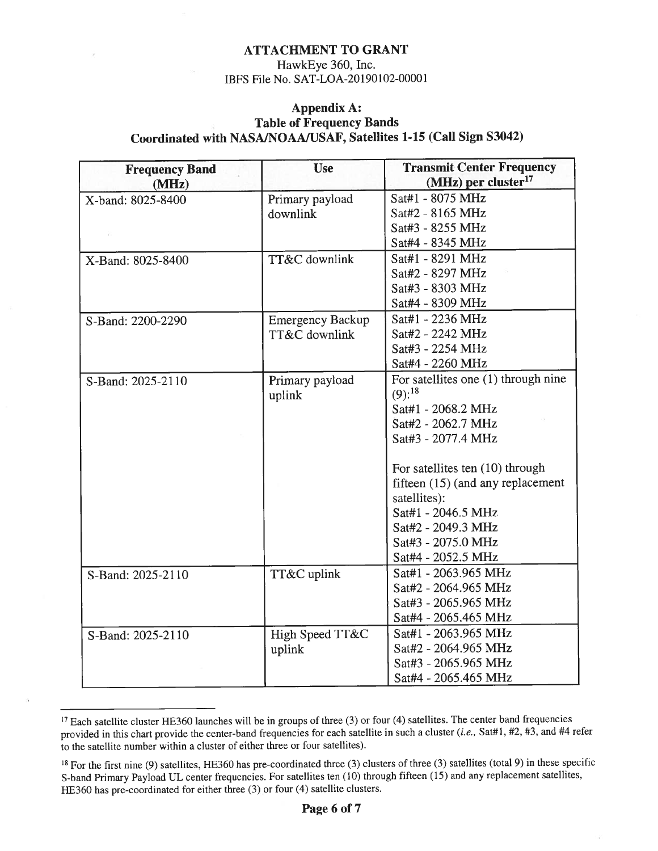### ATTACHMENT TO GRANT

### HawkEye 360, Inc. 1BPS File No. SAT-LOA-20190102-00001

### Appendix A: Table of Frequency Bands Coordinated with NASAINOAAIUSAF, Satellites 1-15 (Call Sign S3042)

| <b>Frequency Band</b><br>(MHz) | <b>Use</b>              | <b>Transmit Center Frequency</b><br>(MHz) per cluster <sup>17</sup> |
|--------------------------------|-------------------------|---------------------------------------------------------------------|
| X-band: 8025-8400              | Primary payload         | Sat#1 - 8075 MHz                                                    |
|                                | downlink                | Sat#2 - 8165 MHz                                                    |
|                                |                         | Sat#3 - 8255 MHz                                                    |
|                                |                         | Sat#4 - 8345 MHz                                                    |
| X-Band: 8025-8400              | TT&C downlink           | Sat#1 - 8291 MHz                                                    |
|                                |                         | Sat#2 - 8297 MHz                                                    |
|                                |                         | Sat#3 - 8303 MHz                                                    |
|                                |                         | Sat#4 - 8309 MHz                                                    |
| S-Band: 2200-2290              | <b>Emergency Backup</b> | Sat#1 - 2236 MHz                                                    |
|                                | TT&C downlink           | Sat#2 - 2242 MHz                                                    |
|                                |                         | Sat#3 - 2254 MHz                                                    |
|                                |                         | Sat#4 - 2260 MHz                                                    |
| S-Band: 2025-2110              | Primary payload         | For satellites one (1) through nine                                 |
|                                | uplink                  | $(9)$ : <sup>18</sup>                                               |
|                                |                         | Sat#1 - 2068.2 MHz                                                  |
|                                |                         | Sat#2 - 2062.7 MHz                                                  |
|                                |                         | Sat#3 - 2077.4 MHz                                                  |
|                                |                         | For satellites ten (10) through                                     |
|                                |                         | fifteen (15) (and any replacement                                   |
|                                |                         | satellites):                                                        |
|                                |                         | Sat#1 - 2046.5 MHz                                                  |
|                                |                         | Sat#2 - 2049.3 MHz                                                  |
|                                |                         | Sat#3 - 2075.0 MHz                                                  |
|                                |                         | Sat#4 - 2052.5 MHz                                                  |
| S-Band: 2025-2110              | TT&C uplink             | Sat#1 - 2063.965 MHz                                                |
|                                |                         | Sat#2 - 2064.965 MHz                                                |
|                                |                         | Sat#3 - 2065.965 MHz                                                |
|                                |                         | Sat#4 - 2065.465 MHz                                                |
| S-Band: 2025-2110              | High Speed TT&C         | Sat#1 - 2063.965 MHz                                                |
|                                | uplink                  | Sat#2 - 2064.965 MHz                                                |
|                                |                         | Sat#3 - 2065.965 MHz                                                |
|                                |                         | Sat#4 - 2065.465 MHz                                                |

 $^{17}$  Each satellite cluster HE360 launches will be in groups of three (3) or four (4) satellites. The center band frequencies provided in this chart provide the center-band frequencies for each satellite in such a cluster (i.e., Sat#1, #2, #3, and #4 refer to the satellite number within a cluster of either three or four satellites).

<sup>&</sup>lt;sup>18</sup> For the first nine (9) satellites, HE360 has pre-coordinated three (3) clusters of three (3) satellites (total 9) in these specific S-band Primary Payload UL center frequencies. For satellites ten (10) through fifteen (15) and any replacement satellites, HE360 has pre-coordinated for either three (3) or four (4) satellite clusters.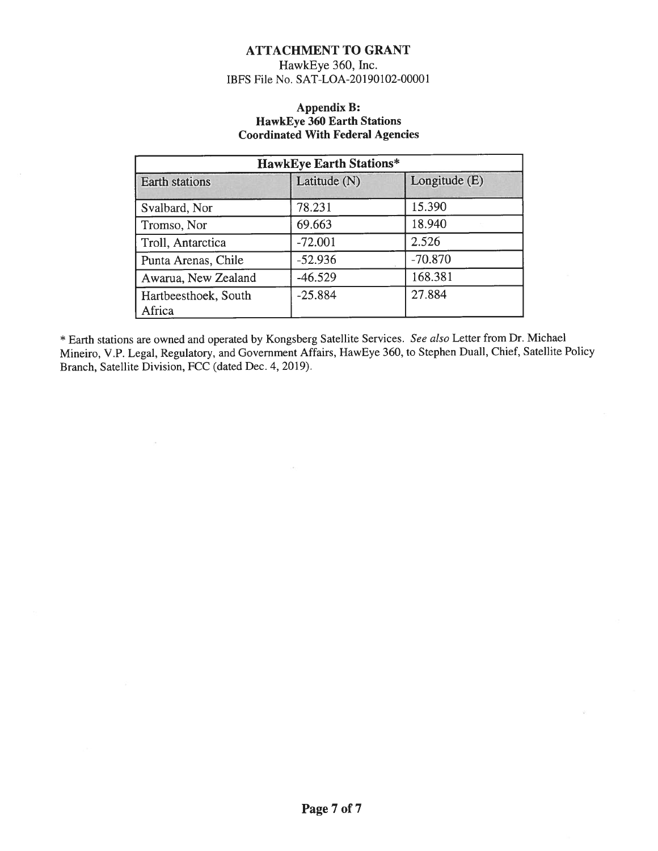### ATTACHMENT TO GRANT

HawkEye 360, Inc. IBFS File No. SAT-LOA-20190102-00001

#### Appendix B: HawkEye 360 Earth Stations Coordinated With Federal Agencies

| <b>HawkEye Earth Stations*</b> |              |                 |  |
|--------------------------------|--------------|-----------------|--|
| Earth stations                 | Latitude (N) | Longitude $(E)$ |  |
| Svalbard, Nor                  | 78.231       | 15.390          |  |
| Tromso, Nor                    | 69.663       | 18.940          |  |
| Troll, Antarctica              | $-72.001$    | 2.526           |  |
| Punta Arenas, Chile            | $-52.936$    | $-70.870$       |  |
| Awarua, New Zealand            | $-46.529$    | 168.381         |  |
| Hartbeesthoek, South<br>Africa | $-25.884$    | 27.884          |  |

\* Earth stations are owned and operated by Kongsberg Satellite Services. See also Letter from Dr. Michael Mineiro, V.P. Legal, Regulatory, and Government Affairs, HawEye 360, to Stephen Duall, Chief, Satellite Policy Branch, Satellite Division, FCC (dated Dec. 4, 2019).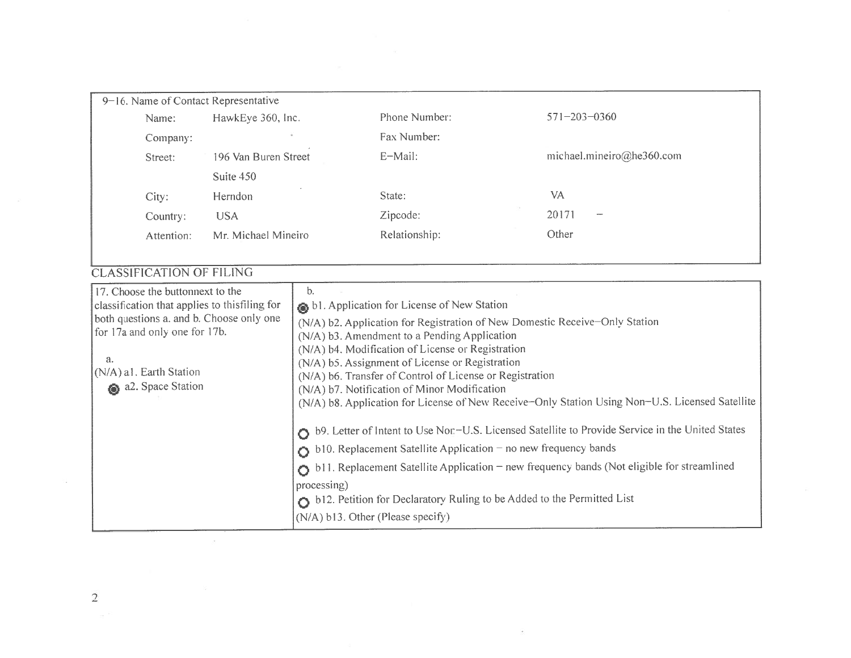| 9–16. Name of Contact Representative |                      |               |                                   |
|--------------------------------------|----------------------|---------------|-----------------------------------|
| Name:                                | HawkEye 360, Inc.    | Phone Number: | $571 - 203 - 0360$                |
| Company:                             | $\alpha$             | Fax Number:   |                                   |
| Street:                              | 196 Van Buren Street | E-Mail:       | michael.mineiro@he360.com         |
|                                      | Suite 450            |               |                                   |
| City:                                | Herndon              | State:        | VA                                |
| Country:                             | <b>USA</b>           | Zipcode:      | 20171<br>$\overline{\phantom{a}}$ |
| Attention:                           | Mr. Michael Mineiro  | Relationship: | Other                             |
|                                      |                      |               |                                   |

## LASSIFICATION OF FILING

| 17. Choose the buttonnext to the<br>classification that applies to thisfiling for | b.<br>bl. Application for License of New Station                                                                                                                 |
|-----------------------------------------------------------------------------------|------------------------------------------------------------------------------------------------------------------------------------------------------------------|
| both questions a. and b. Choose only one<br>for 17a and only one for 17b.         | (N/A) b2. Application for Registration of New Domestic Receive-Only Station<br>(N/A) b3. Amendment to a Pending Application                                      |
| a.<br>(N/A) a1. Earth Station                                                     | (N/A) b4. Modification of License or Registration<br>(N/A) b5. Assignment of License or Registration<br>(N/A) b6. Transfer of Control of License or Registration |
| a2. Space Station                                                                 | (N/A) b7. Notification of Minor Modification<br>(N/A) b8. Application for License of New Receive-Only Station Using Non-U.S. Licensed Satellite                  |
|                                                                                   | O b9. Letter of Intent to Use Nor-U.S. Licensed Satellite to Provide Service in the United States                                                                |
|                                                                                   | $\bigcirc$ b10. Replacement Satellite Application – no new frequency bands                                                                                       |
|                                                                                   | $\bigcirc$ b11. Replacement Satellite Application – new frequency bands (Not eligible for streamlined                                                            |
|                                                                                   | processing)<br>b12. Petition for Declaratory Ruling to be Added to the Permitted List                                                                            |
|                                                                                   | (N/A) b13. Other (Please specify)                                                                                                                                |

 $\overline{c}$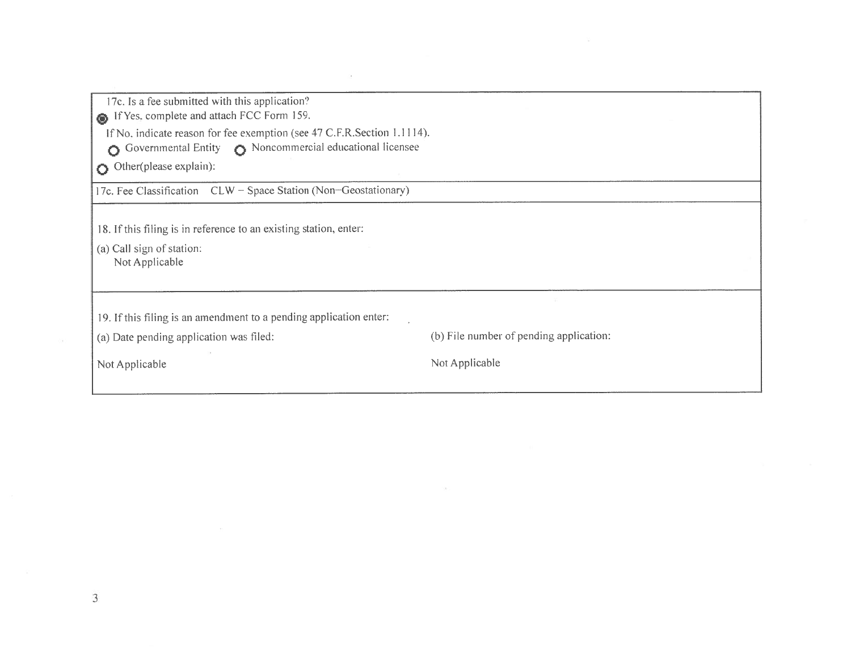| 17c. Is a fee submitted with this application? |  |  |  |
|------------------------------------------------|--|--|--|
|------------------------------------------------|--|--|--|

 $\sum_{i=1}^{\infty}$  if its. complete and attach FCC

Form 159. Complete and attached CC Form 159.<br>
If No. indicate reason for fee exemption (see 47 C.F.R.Section 1.1114).

O Governmental Entity  $\bullet$  Noncommercial educational licensee

Other(please explain):

Other(please explain): 17c. Fee Classification CLW —Space Station (Non—Geostationary)

18. If this filing is in reference to an existing station, enter:

(a) Call sign of station: Not Applicable

19. If this filing is an amendment to a pending application enter

(a) Date

(b) File number of pending application:

Not Applicable

Not Applicable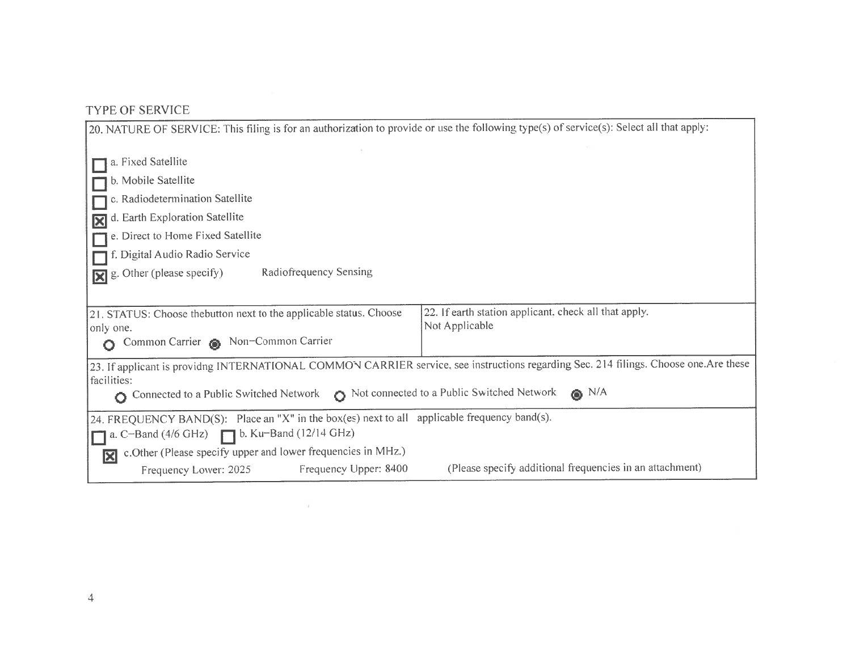## TYPE OF SERVICE

| 20. NATURE OF SERVICE: This filing is for an authorization to provide or use the following type(s) of service(s): Select all that apply: |                                                                                                                                      |  |  |
|------------------------------------------------------------------------------------------------------------------------------------------|--------------------------------------------------------------------------------------------------------------------------------------|--|--|
|                                                                                                                                          |                                                                                                                                      |  |  |
| a. Fixed Satellite                                                                                                                       |                                                                                                                                      |  |  |
| b. Mobile Satellite                                                                                                                      |                                                                                                                                      |  |  |
| c. Radiodetermination Satellite                                                                                                          |                                                                                                                                      |  |  |
| d. Earth Exploration Satellite                                                                                                           |                                                                                                                                      |  |  |
| e. Direct to Home Fixed Satellite                                                                                                        |                                                                                                                                      |  |  |
| f. Digital Audio Radio Service                                                                                                           |                                                                                                                                      |  |  |
| Radiofrequency Sensing<br>g. Other (please specify)<br>R                                                                                 |                                                                                                                                      |  |  |
|                                                                                                                                          |                                                                                                                                      |  |  |
| 21. STATUS: Choose thebutton next to the applicable status. Choose<br>only one.                                                          | 22. If earth station applicant, check all that apply.<br>Not Applicable                                                              |  |  |
| Common Carrier & Non-Common Carrier                                                                                                      |                                                                                                                                      |  |  |
| facilities:                                                                                                                              | 23. If applicant is providng INTERNATIONAL COMMON CARRIER service, see instructions regarding Sec. 214 filings. Choose one.Are these |  |  |
| Connected to a Public Switched Network $\bigcirc$ Not connected to a Public Switched Network<br>Ο                                        | $\bullet$ N/A                                                                                                                        |  |  |
| 24. FREQUENCY BAND(S): Place an "X" in the box(es) next to all applicable frequency band(s).                                             |                                                                                                                                      |  |  |
| a. C-Band (4/6 GHz)<br><b>D.</b> Ku-Band (12/14 GHz)                                                                                     |                                                                                                                                      |  |  |
| c. Other (Please specify upper and lower frequencies in MHz.)<br>冈                                                                       |                                                                                                                                      |  |  |
| Frequency Upper: 8400<br>Frequency Lower: 2025                                                                                           | (Please specify additional frequencies in an attachment)                                                                             |  |  |

 $\sim$   $\sim$   $\sim$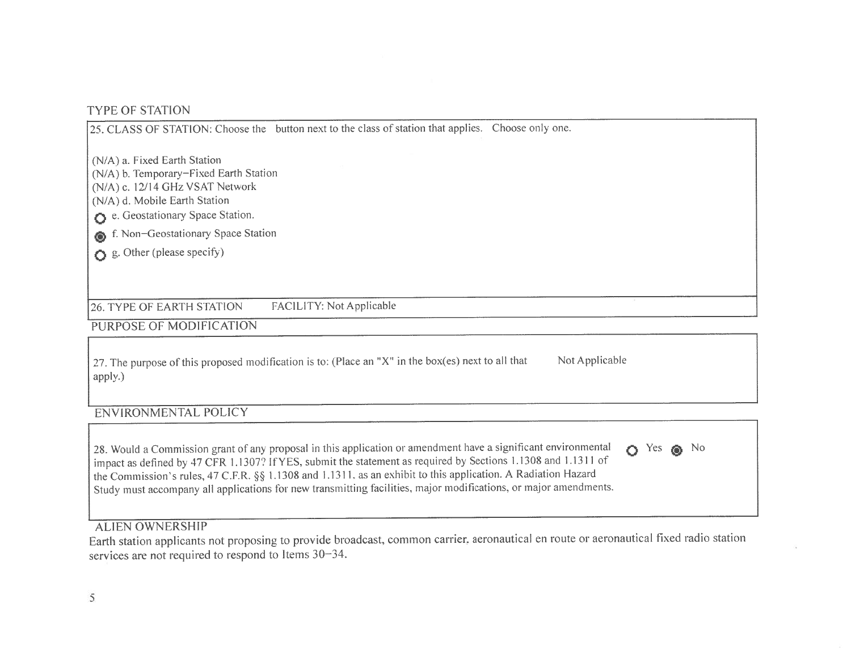# TYPE OF STATION

|                                                                                                                                                                                                                                                              | 25. CLASS OF STATION: Choose the button next to the class of station that applies. Choose only one. |  |
|--------------------------------------------------------------------------------------------------------------------------------------------------------------------------------------------------------------------------------------------------------------|-----------------------------------------------------------------------------------------------------|--|
| (N/A) a. Fixed Earth Station<br>(N/A) b. Temporary-Fixed Earth Station<br>(N/A) c. 12/14 GHz VSAT Network<br>(N/A) d. Mobile Earth Station<br>e. Geostationary Space Station.<br>6 f. Non-Geostationary Space Station<br>$\bullet$ g. Other (please specify) |                                                                                                     |  |
| <b>26. TYPE OF EARTH STATION</b>                                                                                                                                                                                                                             | <b>FACILITY: Not Applicable</b>                                                                     |  |
| PURPOSE OF MODIFICATION                                                                                                                                                                                                                                      |                                                                                                     |  |

27. The purpose of this proposed modification is to: (Place an "X" in the box(es) next to all that Not Applicable apply.)

## ENVIRONMENTAL POLICY

| 28. Would a Commission grant of any proposal in this application or amendment have a significant environmental $\bullet$ Yes $\bullet$ No<br>impact as defined by 47 CFR 1.1307? If YES, submit the statement as required by Sections 1.1308 and 1.1311 of<br>the Commission's rules, 47 C.F.R. §§ 1.1308 and 1.1311, as an exhibit to this application. A Radiation Hazard<br>Study must accompany all applications for new transmitting facilities, major modifications, or major amendments. |  |
|-------------------------------------------------------------------------------------------------------------------------------------------------------------------------------------------------------------------------------------------------------------------------------------------------------------------------------------------------------------------------------------------------------------------------------------------------------------------------------------------------|--|
|-------------------------------------------------------------------------------------------------------------------------------------------------------------------------------------------------------------------------------------------------------------------------------------------------------------------------------------------------------------------------------------------------------------------------------------------------------------------------------------------------|--|

## **ALIEN OWNERSHIP**

ALIEN OWNERSHIP<br>Earth station applicants not proposing to provide broadcast, common carrier, aeronautical en route or aeronautical fixed radio station services are not required to respond to Items 30—34.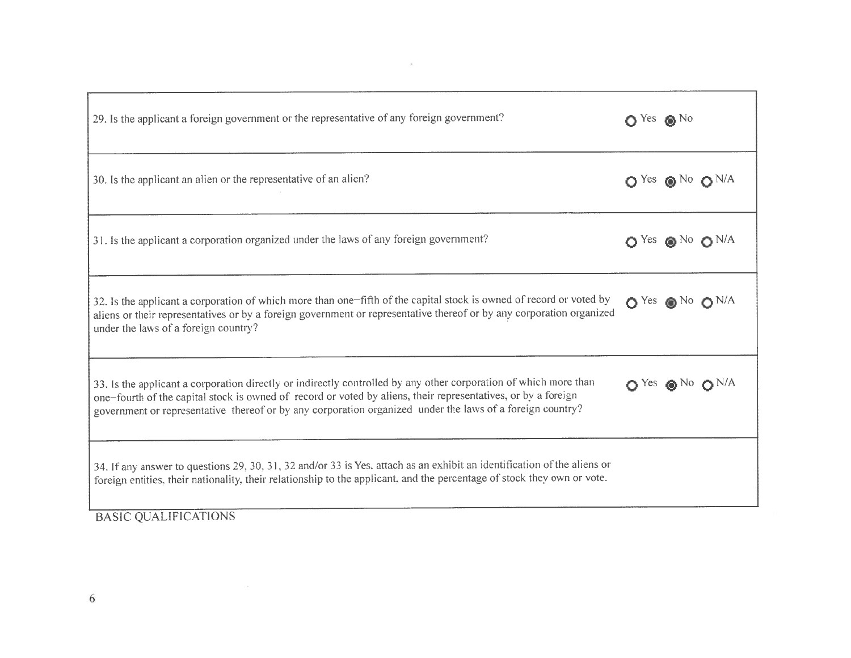| 29. Is the applicant a foreign government or the representative of any foreign government?                                                                                                                                                                                                                                                     | $O$ Yes $\otimes$ No                        |
|------------------------------------------------------------------------------------------------------------------------------------------------------------------------------------------------------------------------------------------------------------------------------------------------------------------------------------------------|---------------------------------------------|
| 30. Is the applicant an alien or the representative of an alien?                                                                                                                                                                                                                                                                               | $O$ Yes $\otimes$ No $O$ N/A                |
| 31. Is the applicant a corporation organized under the laws of any foreign government?                                                                                                                                                                                                                                                         | $\bigcirc$ Yes $\bigcirc$ No $\bigcirc$ N/A |
| 32. Is the applicant a corporation of which more than one-fifth of the capital stock is owned of record or voted by<br>aliens or their representatives or by a foreign government or representative thereof or by any corporation organized<br>under the laws of a foreign country?                                                            | $O$ Yes $\otimes$ No $O$ N/A                |
| 33. Is the applicant a corporation directly or indirectly controlled by any other corporation of which more than<br>one-fourth of the capital stock is owned of record or voted by aliens, their representatives, or by a foreign<br>government or representative thereof or by any corporation organized under the laws of a foreign country? | $OYes$ $\otimes$ No $ON/A$                  |
| 34. If any answer to questions 29, 30, 31, 32 and/or 33 is Yes, attach as an exhibit an identification of the aliens or<br>foreign entities, their nationality, their relationship to the applicant, and the percentage of stock they own or vote.                                                                                             |                                             |
| <b>BASIC QUALIFICATIONS</b>                                                                                                                                                                                                                                                                                                                    |                                             |

 $\mathcal{M}$  . The set of the set of the set of the set of the set of the set of the set of the set of the set of the set of the set of the set of the set of the set of the set of the set of the set of the set of the set of t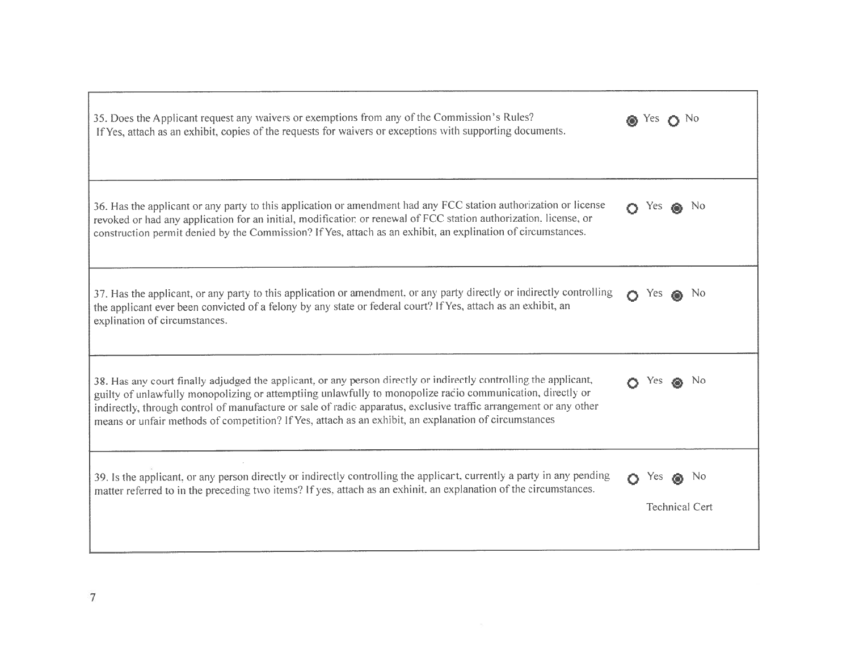| 35. Does the Applicant request any waivers or exemptions from any of the Commission's Rules?<br>If Yes, attach as an exhibit, copies of the requests for waivers or exceptions with supporting documents.                                                                                                                                                                                                                                                     | Yes -      |                                         |
|---------------------------------------------------------------------------------------------------------------------------------------------------------------------------------------------------------------------------------------------------------------------------------------------------------------------------------------------------------------------------------------------------------------------------------------------------------------|------------|-----------------------------------------|
| 36. Has the applicant or any party to this application or amendment had any FCC station authorization or license<br>revoked or had any application for an initial, modification or renewal of FCC station authorization, license, or<br>construction permit denied by the Commission? If Yes, attach as an exhibit, an explination of circumstances.                                                                                                          | Yes.       |                                         |
| 37. Has the applicant, or any party to this application or amendment, or any party directly or indirectly controlling<br>the applicant ever been convicted of a felony by any state or federal court? If Yes, attach as an exhibit, an<br>explination of circumstances.                                                                                                                                                                                       | Yes        | - No                                    |
| 38. Has any court finally adjudged the applicant, or any person directly or indirectly controlling the applicant,<br>guilty of unlawfully monopolizing or attemptiing unlawfully to monopolize racio communication, directly or<br>indirectly, through control of manufacture or sale of radic apparatus, exclusive traffic arrangement or any other<br>means or unfair methods of competition? If Yes, attach as an exhibit, an explanation of circumstances |            | N <sub>0</sub>                          |
| 39. Is the applicant, or any person directly or indirectly controlling the applicant, currently a party in any pending<br>matter referred to in the preceding two items? If yes, attach as an exhinit, an explanation of the circumstances.                                                                                                                                                                                                                   | <b>Yes</b> | N <sub>0</sub><br><b>Technical Cert</b> |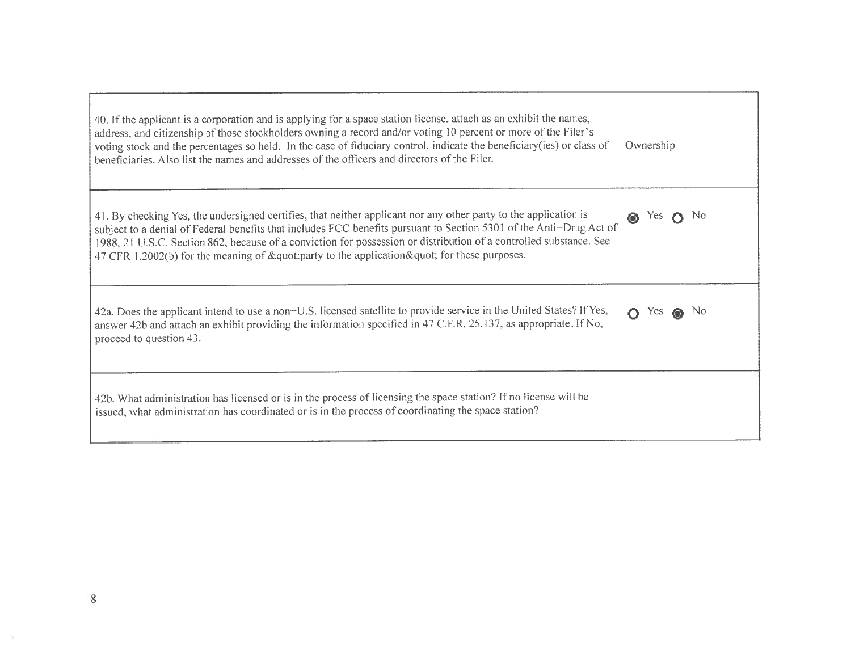| 40. If the applicant is a corporation and is applying for a space station license, attach as an exhibit the names,<br>address, and citizenship of those stockholders owning a record and/or voting 10 percent or more of the Filer's<br>voting stock and the percentages so held. In the case of fiduciary control, indicate the beneficiary(ies) or class of<br>beneficiaries. Also list the names and addresses of the officers and directors of the Filer. | Ownership             |
|---------------------------------------------------------------------------------------------------------------------------------------------------------------------------------------------------------------------------------------------------------------------------------------------------------------------------------------------------------------------------------------------------------------------------------------------------------------|-----------------------|
| 41. By checking Yes, the undersigned certifies, that neither applicant nor any other party to the application is<br>subject to a denial of Federal benefits that includes FCC benefits pursuant to Section 5301 of the Anti-Drug Act of<br>1988, 21 U.S.C. Section 862, because of a conviction for possession or distribution of a controlled substance. See<br>47 CFR 1.2002(b) for the meaning of "party to the application " for these purposes.          | N <sub>0</sub><br>Yes |
| 42a. Does the applicant intend to use a non-U.S. licensed satellite to provide service in the United States? If Yes,<br>answer 42b and attach an exhibit providing the information specified in 47 C.F.R. 25.137, as appropriate. If No,<br>proceed to question 43.                                                                                                                                                                                           | -No<br>yes            |
| 42b. What administration has licensed or is in the process of licensing the space station? If no license will be<br>issued, what administration has coordinated or is in the process of coordinating the space station?                                                                                                                                                                                                                                       |                       |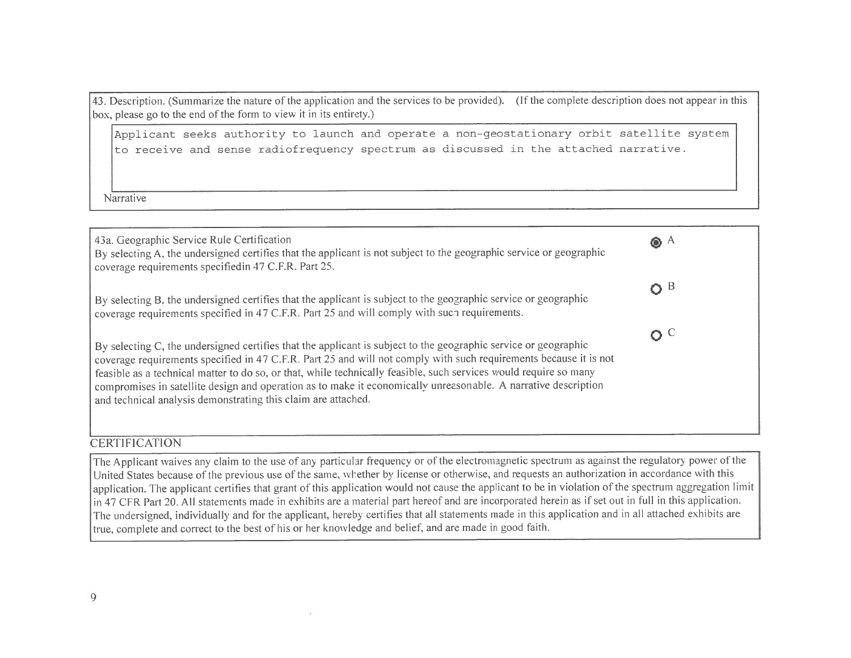43. Description. (Summarize the nature of the application and the services to be provided). (If the complete description does not appear in this box, please go to the end of the form to view it in its entirety.)

Applicant seeks authority to launch and operate <sup>a</sup> non-geostationary orbit satellite systemto receive and sense radiofrequency spectrum as discussed in the attached narrative.

Narrative



#### **CERTIFICATION**

The Applicant waives any claim to the use of any particular frequency or of the electromagnetic spectrum as against the regulatory power of the Linited States because of the regulatory with this United States because of the previous use of the same, whether by license or otherwise, and requests an authorization in accordance with this application. The applicant certifies that grant of this application would not cause the applicant to be in violation of the spectrum aggregation limit<br>in 47.CEP Pert 20, All statements mode in orbibits are a material part in 47 CFR Part 20. All statements made in exhibits are a material part hereof and are incorporated herein as if set out in full in this application. The undersigned, individually and for the applicant, hereby certifies that all statements made in this application and in all attached exhibits are true, complete and correct to the best of his or her knowledge and belief, and are made in good faith.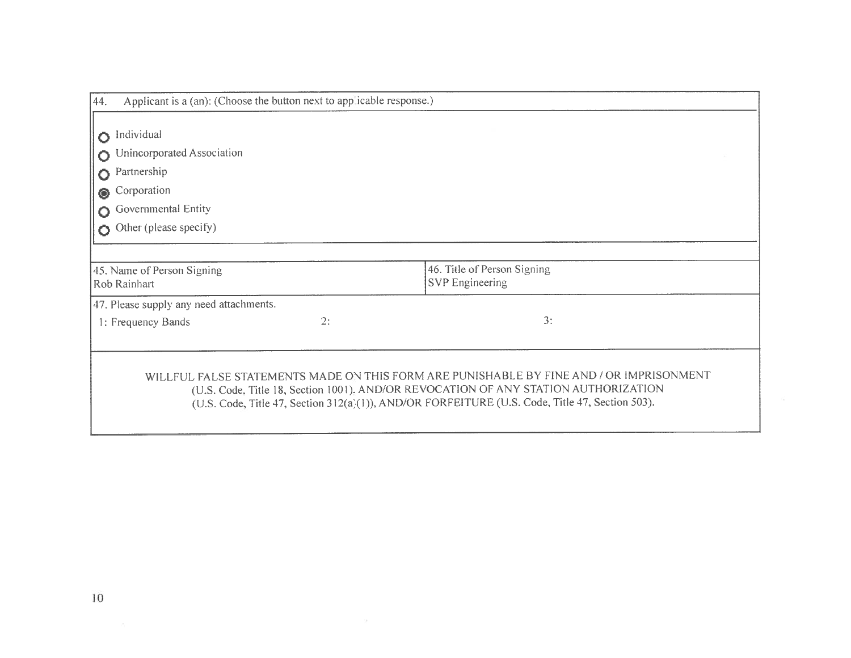| Applicant is a (an): (Choose the button next to app icable response.)<br>44. |    |                                                                                                                                                                                                                                                                                   |  |
|------------------------------------------------------------------------------|----|-----------------------------------------------------------------------------------------------------------------------------------------------------------------------------------------------------------------------------------------------------------------------------------|--|
| Individual<br>Ō                                                              |    |                                                                                                                                                                                                                                                                                   |  |
| Unincorporated Association                                                   |    |                                                                                                                                                                                                                                                                                   |  |
| Partnership<br>Ō                                                             |    |                                                                                                                                                                                                                                                                                   |  |
| Corporation<br>◉                                                             |    |                                                                                                                                                                                                                                                                                   |  |
| Governmental Entity                                                          |    |                                                                                                                                                                                                                                                                                   |  |
| Other (please specify)                                                       |    |                                                                                                                                                                                                                                                                                   |  |
|                                                                              |    |                                                                                                                                                                                                                                                                                   |  |
| 45. Name of Person Signing<br>Rob Rainhart                                   |    | 46. Title of Person Signing<br><b>SVP</b> Engineering                                                                                                                                                                                                                             |  |
| 47. Please supply any need attachments.                                      |    |                                                                                                                                                                                                                                                                                   |  |
| 1: Frequency Bands                                                           | 2: | 3:                                                                                                                                                                                                                                                                                |  |
|                                                                              |    |                                                                                                                                                                                                                                                                                   |  |
|                                                                              |    | WILLFUL FALSE STATEMENTS MADE ON THIS FORM ARE PUNISHABLE BY FINE AND / OR IMPRISONMENT<br>(U.S. Code, Title 18, Section 1001), AND/OR REVOCATION OF ANY STATION AUTHORIZATION<br>(U.S. Code, Title 47, Section 312(a)(1)), AND/OR FORFEITURE (U.S. Code, Title 47, Section 503). |  |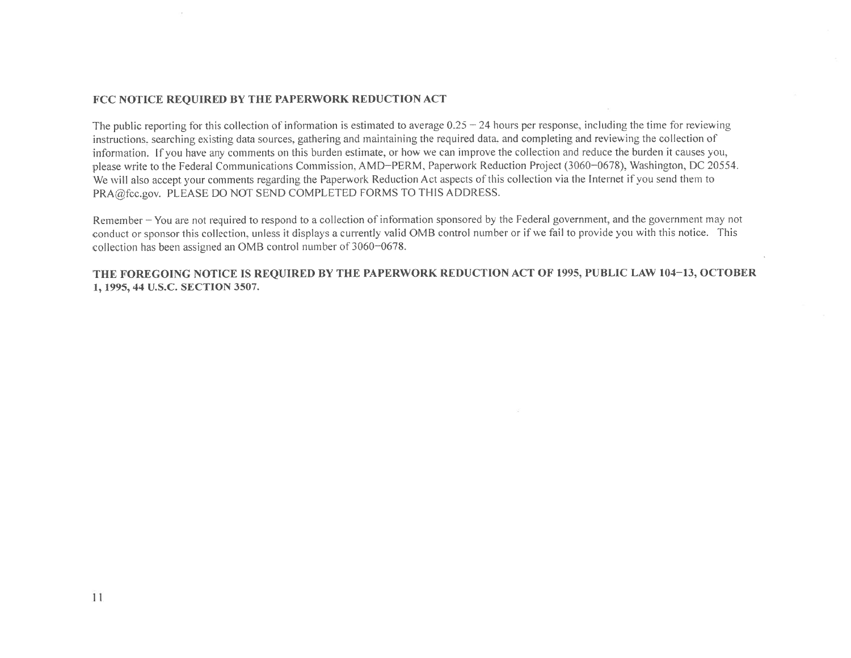## FCC NOTICE REQUIRED BY THE PAPERWORK REDUCTION ACT

The public reporting for this collection of information is estimated to average  $0.25 - 24$  hours per response, including the time for reviewing instructions, searching existing data sources, gathering and maintaining the required data. and completing and reviewing the collection of information. If you have any comments on this burden estimate, or how we can improve the collection and reduce the burden it causes you, please write to the Federal Communications Commission, AMD–PERM, Paperwork Reduction Project (3060–0678), Washington, DC 20554.<br>We all the latest the set of the second in the Processed Pedrotion Act research of this collec We will also accept your comments regarding the Paperwork Reduction Act aspects of this collection via the Internet if you send them to<br>RRA @fassexy RLEASE DO NOT SEND COMPLETED FORMS TO THIS ADDRESS PRA@fcc.gov. PLEASE DO NOT SEND COMPLETED FORMS TO THIS ADDRESS.

Remember – You are not required to respond to a collection of information sponsored by the Federal government, and the government may not conduct or sponsor this collection, unless it displays <sup>a</sup> currently valid 0MB control number or if we fail to provide you with this notice. This collection has been assigned an 0MB control number of 3060—0678.

THE FOREGOING NOTICE IS REQUIRED BY THE PAPERWORK REDUCTION ACT OF 1995, PUBLIC LAW 104–13, OCTOBER<br>1, 1995, 44 U.S.C. SECTION 3597 1, 1995, 44 U.S.C. SECTION 3507.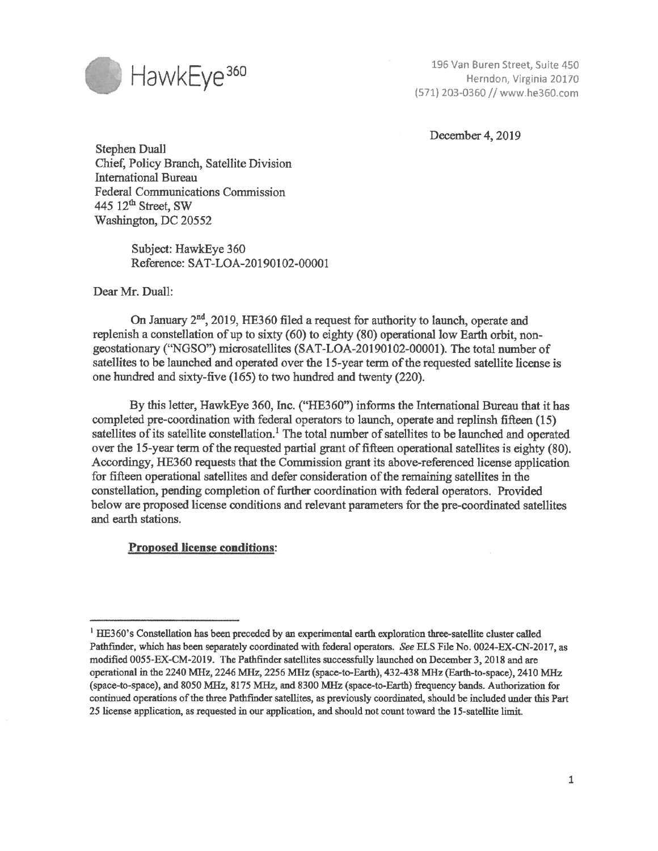

196 Van Buren Street, Suite 450<br>Herndon, Virginia 20170 (571) 203-0360 // www.he360.com

December 4, 2019

Stephen Duall Chief, Policy Branch, Satellite Division International Bureau Federal Communications Commission 445  $12<sup>th</sup>$  Street, SW Washington, DC 20552

> Subject: HawkEye 360 Reference: SAT-LOA-20190102-00001

Dear Mr. Duall:

On January  $2<sup>nd</sup>$ , 2019, HE360 filed a request for authority to launch, operate and replenish <sup>a</sup> constellation of up to sixty (60) to eighty (80) operational low Earth orbit, non geostationary ("NGSO") microsatellites (SAT-LOA-20190102-0000l). The total number of satellites to be launched and operated over the 15-year term of the requested satellite license is one hundred and sixty-five (165) to two hundred and twenty (220).

By this letter, HawkEye 360, Inc. ("HE360") informs the International Bureau that it has completed pre-coordination with federal operators to launch, operate and replinsh fifteen (15) satellites of its satellite constellation.' The total number of satellites to be launched and operated over the 15-year term of the requested partial grant of fifteen operational satellites is eighty (80). Accordingy, HE360 requests that the Commission grant its above-referenced license application for fifteen operational satellites and defer consideration of the remaining satellites in the constellation, pending completion of further coordination with federal operators. Provided below are proposed license conditions and relevant parameters for the pre-coordinated satellites and earth stations.

#### Proposed license conditions:

<sup>&#</sup>x27;HE360's Constellation has been preceded by an experimental earth exploration three-satellite cluster called Pathfinder, which has been separately coordinated with federal operators. See ELS File No. 0024-EX-CN-2017, as modified 0055-EX-CM-2019. The Pathfinder satellites successfully launched on December 3,2018 and are operational in the 2240 MHz, 2246 MHz, 2256 MHz (space-to-Earth), 432-438 MHz (Earth-to-space), 2410 MHz (space-to-space), and 8050 MHz, 8175 MHz, and 8300 MHz (space-to-Earth) frequency bands. Authorization for continued operations of the three Pathfinder satellites, as previously coordinated, should be included under this Part 25 license application, as requested in our application, and should not count toward the 15-satellite limit.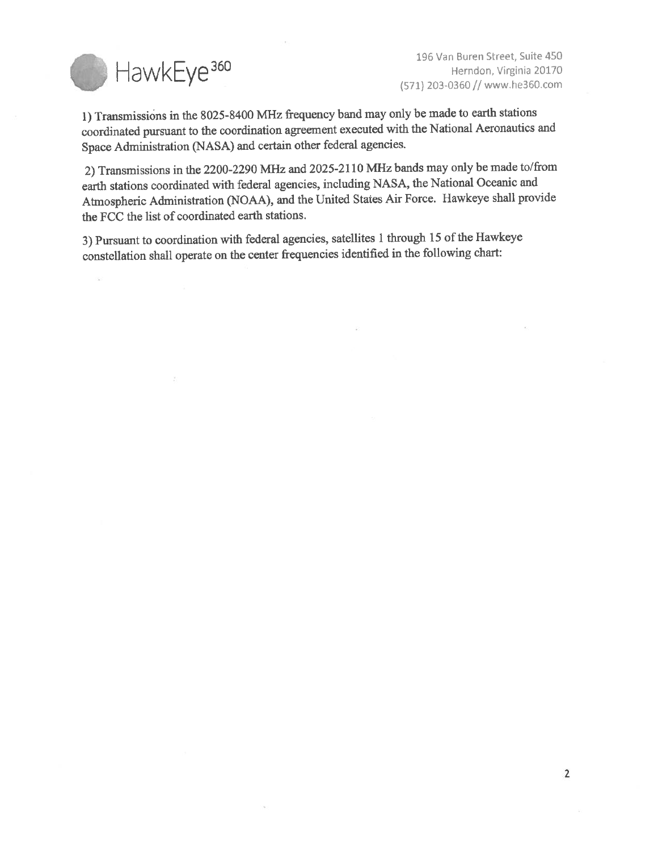

196 Van Buren Street, Suite 450 H ave K and Street, since 450<br>Herndon, Virginia 20170<br>(571) 203-0360 // www.he360.com

1) Transmissions in the 8025-8400 MHz frequency band may only be made to earth stations coordinated pursuant to the coordination agreement executed with the National Aeronautics and Space Administration (NASA) and certain other federal agencies.

2) Transmissions in the 2200-2290 MHz and 2025-2110 MHz bands may only be made to/from earth stations coordinated with federal agencies, including NASA, the National Oceanic and Atmospheric Administration (NOAA), and the United States Air Force. Hawkeye shall provide the FCC the list of coordinated earth stations.

3) Pursuant to coordination with federal agencies, satellites <sup>1</sup> through <sup>15</sup> of the Hawkeye constellation shall operate on the center frequencies identified in the following chart:

 $\langle \cdot |$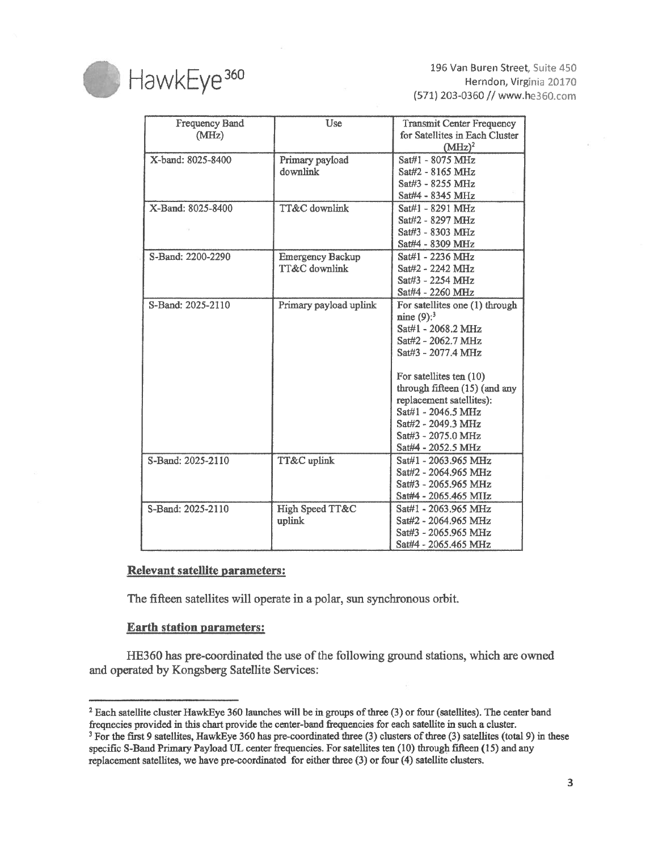

196 Van Buren Street, Suite 450 HavvkEye<sup>360</sup> 196 Van Buren Street, Suite 450<br>Herndon, Virginia 20170 (571) 203-0360 // www.he360.com

| <b>Frequency Band</b><br>(MHz) | Use                     | <b>Transmit Center Frequency</b><br>for Satellites in Each Cluster |
|--------------------------------|-------------------------|--------------------------------------------------------------------|
|                                |                         | $(MHz)^2$                                                          |
| X-band: 8025-8400              | Primary payload         | Sat#1 - 8075 MHz                                                   |
|                                | downlink                | Sat#2 - 8165 MHz                                                   |
|                                |                         | Sat#3 - 8255 MHz                                                   |
|                                |                         | Sat#4 - 8345 MHz                                                   |
| X-Band: 8025-8400              | TT&C downlink           | Sat#1 - 8291 MHz                                                   |
|                                |                         | Sat#2 - 8297 MHz                                                   |
|                                |                         | Sat#3 - 8303 MHz                                                   |
|                                |                         | Sat#4 - 8309 MHz                                                   |
| S-Band: 2200-2290              | <b>Emergency Backup</b> | Sat#1 - 2236 MHz                                                   |
|                                | TT&C downlink           | Sat#2 - 2242 MHz                                                   |
|                                |                         | Sat#3 - 2254 MHz                                                   |
|                                |                         | Sat#4 - 2260 MHz                                                   |
| S-Band: 2025-2110              | Primary payload uplink  | For satellites one (1) through                                     |
|                                |                         | nine $(9)$ : <sup>3</sup>                                          |
|                                |                         | Sat#1 - 2068.2 MHz                                                 |
|                                |                         | Sat#2 - 2062.7 MHz                                                 |
|                                |                         | Sat#3 - 2077.4 MHz                                                 |
|                                |                         | For satellites ten (10)                                            |
|                                |                         | through fifteen (15) (and any                                      |
|                                |                         | replacement satellites):                                           |
|                                |                         | Sat#1 - 2046.5 MHz                                                 |
|                                |                         | Sat#2 - 2049.3 MHz                                                 |
|                                |                         | Sat#3 - 2075.0 MHz                                                 |
|                                |                         | Sat#4 - 2052.5 MHz                                                 |
| S-Band: 2025-2110              | TT&C uplink             | Sat#1 - 2063.965 MHz                                               |
|                                |                         | Sat#2 - 2064.965 MHz                                               |
|                                |                         | Sat#3 - 2065.965 MHz                                               |
|                                |                         | Sat#4 - 2065.465 MIIz                                              |
| S-Band: 2025-2110              | High Speed TT&C         | Sat#1 - 2063,965 MHz                                               |
|                                | uplink                  | Sat#2 - 2064.965 MHz                                               |
|                                |                         | Sat#3 - 2065.965 MHz                                               |
|                                |                         | Sat#4 - 2065.465 MHz                                               |

#### Relevant satellite parameters:

The fifteen satellites will operate in a poiar, sun synchronous orbit.

#### Earth station parameters:

HE360 has pre-coordinated the use of the following ground stations, which are owned and operated by Kongsberg Satellite Services:

<sup>&</sup>lt;sup>2</sup> Each satellite cluster HawkEye 360 launches will be in groups of three (3) or four (satellites). The center band freqnecies provided in this chart provide the center-band frequencies for each satellite in such a cluster.

<sup>&</sup>lt;sup>3</sup> For the first 9 satellites, HawkEye 360 has pre-coordinated three (3) clusters of three (3) satellites (total 9) in these specific S-Band Primary Payload UL center frequencies. For satellites ten (10) through fifteen (15) and any replacement satellites, we have pre-coordinated for either three (3) or four (4) satellite clusters.